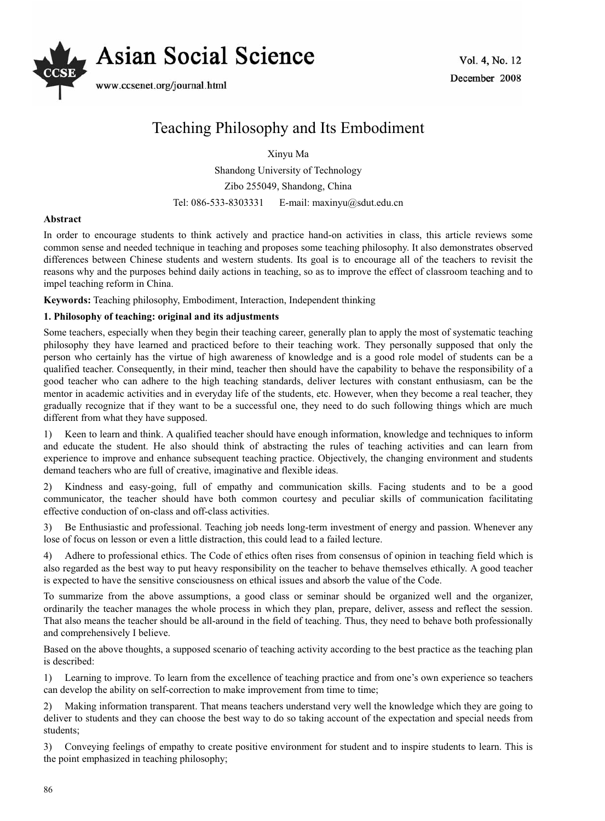

# Teaching Philosophy and Its Embodiment

Xinyu Ma

Shandong University of Technology Zibo 255049, Shandong, China Tel: 086-533-8303331 E-mail: maxinyu@sdut.edu.cn

# **Abstract**

In order to encourage students to think actively and practice hand-on activities in class, this article reviews some common sense and needed technique in teaching and proposes some teaching philosophy. It also demonstrates observed differences between Chinese students and western students. Its goal is to encourage all of the teachers to revisit the reasons why and the purposes behind daily actions in teaching, so as to improve the effect of classroom teaching and to impel teaching reform in China.

**Keywords:** Teaching philosophy, Embodiment, Interaction, Independent thinking

### **1. Philosophy of teaching: original and its adjustments**

Some teachers, especially when they begin their teaching career, generally plan to apply the most of systematic teaching philosophy they have learned and practiced before to their teaching work. They personally supposed that only the person who certainly has the virtue of high awareness of knowledge and is a good role model of students can be a qualified teacher. Consequently, in their mind, teacher then should have the capability to behave the responsibility of a good teacher who can adhere to the high teaching standards, deliver lectures with constant enthusiasm, can be the mentor in academic activities and in everyday life of the students, etc. However, when they become a real teacher, they gradually recognize that if they want to be a successful one, they need to do such following things which are much different from what they have supposed.

1) Keen to learn and think. A qualified teacher should have enough information, knowledge and techniques to inform and educate the student. He also should think of abstracting the rules of teaching activities and can learn from experience to improve and enhance subsequent teaching practice. Objectively, the changing environment and students demand teachers who are full of creative, imaginative and flexible ideas.

2) Kindness and easy-going, full of empathy and communication skills. Facing students and to be a good communicator, the teacher should have both common courtesy and peculiar skills of communication facilitating effective conduction of on-class and off-class activities.

3) Be Enthusiastic and professional. Teaching job needs long-term investment of energy and passion. Whenever any lose of focus on lesson or even a little distraction, this could lead to a failed lecture.

4) Adhere to professional ethics. The Code of ethics often rises from consensus of opinion in teaching field which is also regarded as the best way to put heavy responsibility on the teacher to behave themselves ethically. A good teacher is expected to have the sensitive consciousness on ethical issues and absorb the value of the Code.

To summarize from the above assumptions, a good class or seminar should be organized well and the organizer, ordinarily the teacher manages the whole process in which they plan, prepare, deliver, assess and reflect the session. That also means the teacher should be all-around in the field of teaching. Thus, they need to behave both professionally and comprehensively I believe.

Based on the above thoughts, a supposed scenario of teaching activity according to the best practice as the teaching plan is described:

1) Learning to improve. To learn from the excellence of teaching practice and from one's own experience so teachers can develop the ability on self-correction to make improvement from time to time;

2) Making information transparent. That means teachers understand very well the knowledge which they are going to deliver to students and they can choose the best way to do so taking account of the expectation and special needs from students;

3) Conveying feelings of empathy to create positive environment for student and to inspire students to learn. This is the point emphasized in teaching philosophy;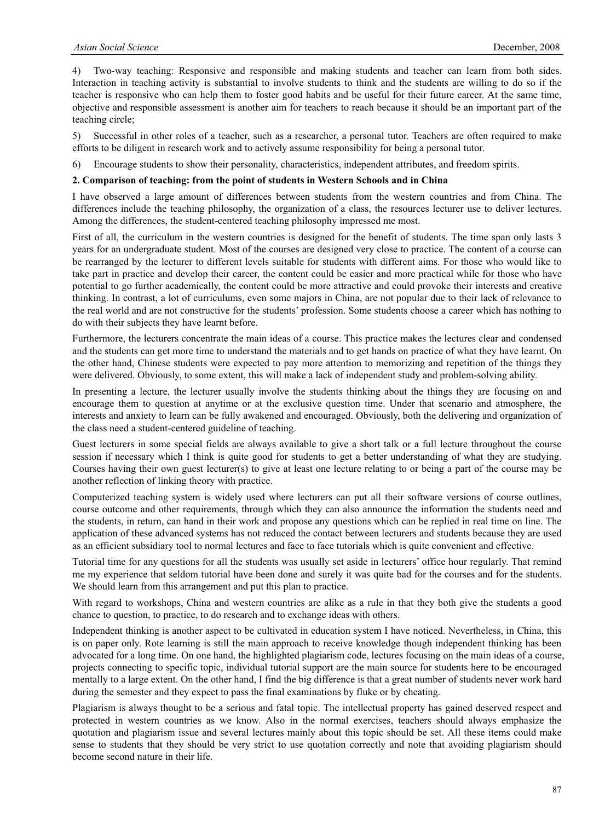4) Two-way teaching: Responsive and responsible and making students and teacher can learn from both sides. Interaction in teaching activity is substantial to involve students to think and the students are willing to do so if the teacher is responsive who can help them to foster good habits and be useful for their future career. At the same time, objective and responsible assessment is another aim for teachers to reach because it should be an important part of the teaching circle;

5) Successful in other roles of a teacher, such as a researcher, a personal tutor. Teachers are often required to make efforts to be diligent in research work and to actively assume responsibility for being a personal tutor.

6) Encourage students to show their personality, characteristics, independent attributes, and freedom spirits.

#### **2. Comparison of teaching: from the point of students in Western Schools and in China**

I have observed a large amount of differences between students from the western countries and from China. The differences include the teaching philosophy, the organization of a class, the resources lecturer use to deliver lectures. Among the differences, the student-centered teaching philosophy impressed me most.

First of all, the curriculum in the western countries is designed for the benefit of students. The time span only lasts 3 years for an undergraduate student. Most of the courses are designed very close to practice. The content of a course can be rearranged by the lecturer to different levels suitable for students with different aims. For those who would like to take part in practice and develop their career, the content could be easier and more practical while for those who have potential to go further academically, the content could be more attractive and could provoke their interests and creative thinking. In contrast, a lot of curriculums, even some majors in China, are not popular due to their lack of relevance to the real world and are not constructive for the students' profession. Some students choose a career which has nothing to do with their subjects they have learnt before.

Furthermore, the lecturers concentrate the main ideas of a course. This practice makes the lectures clear and condensed and the students can get more time to understand the materials and to get hands on practice of what they have learnt. On the other hand, Chinese students were expected to pay more attention to memorizing and repetition of the things they were delivered. Obviously, to some extent, this will make a lack of independent study and problem-solving ability.

In presenting a lecture, the lecturer usually involve the students thinking about the things they are focusing on and encourage them to question at anytime or at the exclusive question time. Under that scenario and atmosphere, the interests and anxiety to learn can be fully awakened and encouraged. Obviously, both the delivering and organization of the class need a student-centered guideline of teaching.

Guest lecturers in some special fields are always available to give a short talk or a full lecture throughout the course session if necessary which I think is quite good for students to get a better understanding of what they are studying. Courses having their own guest lecturer(s) to give at least one lecture relating to or being a part of the course may be another reflection of linking theory with practice.

Computerized teaching system is widely used where lecturers can put all their software versions of course outlines, course outcome and other requirements, through which they can also announce the information the students need and the students, in return, can hand in their work and propose any questions which can be replied in real time on line. The application of these advanced systems has not reduced the contact between lecturers and students because they are used as an efficient subsidiary tool to normal lectures and face to face tutorials which is quite convenient and effective.

Tutorial time for any questions for all the students was usually set aside in lecturers' office hour regularly. That remind me my experience that seldom tutorial have been done and surely it was quite bad for the courses and for the students. We should learn from this arrangement and put this plan to practice.

With regard to workshops, China and western countries are alike as a rule in that they both give the students a good chance to question, to practice, to do research and to exchange ideas with others.

Independent thinking is another aspect to be cultivated in education system I have noticed. Nevertheless, in China, this is on paper only. Rote learning is still the main approach to receive knowledge though independent thinking has been advocated for a long time. On one hand, the highlighted plagiarism code, lectures focusing on the main ideas of a course, projects connecting to specific topic, individual tutorial support are the main source for students here to be encouraged mentally to a large extent. On the other hand, I find the big difference is that a great number of students never work hard during the semester and they expect to pass the final examinations by fluke or by cheating.

Plagiarism is always thought to be a serious and fatal topic. The intellectual property has gained deserved respect and protected in western countries as we know. Also in the normal exercises, teachers should always emphasize the quotation and plagiarism issue and several lectures mainly about this topic should be set. All these items could make sense to students that they should be very strict to use quotation correctly and note that avoiding plagiarism should become second nature in their life.